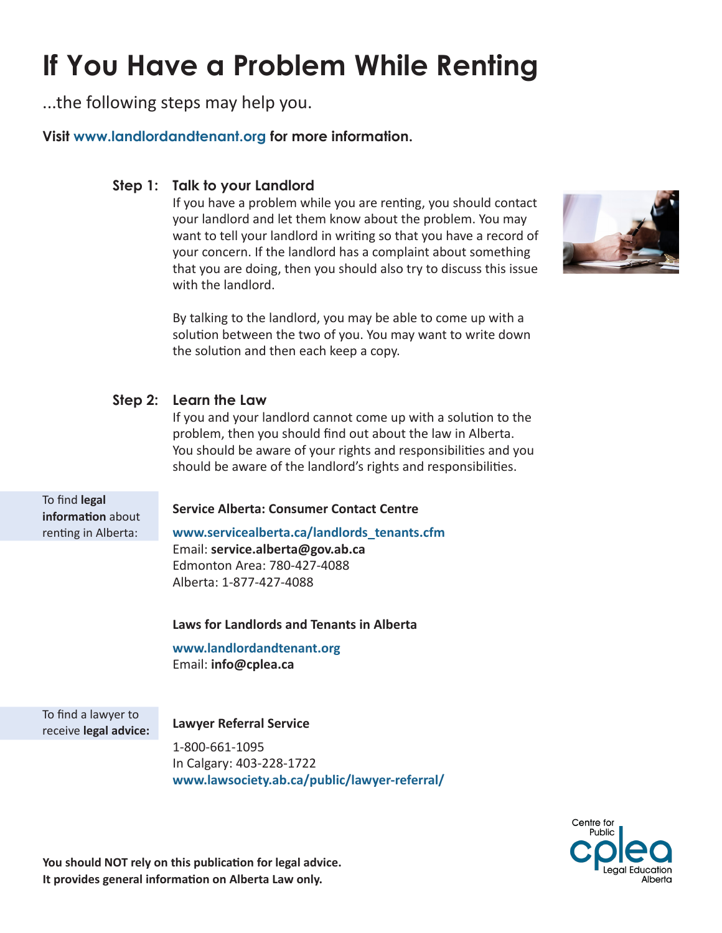# **If You Have a Problem While Renting**

...the following steps may help you.

**Visit www.landlordandtenant.org for more information.**

## **Talk to your Landlord Step 1:**

If you have a problem while you are renting, you should contact your landlord and let them know about the problem. You may want to tell your landlord in writing so that you have a record of your concern. If the landlord has a complaint about something that you are doing, then you should also try to discuss this issue with the landlord.



By talking to the landlord, you may be able to come up with a solution between the two of you. You may want to write down the solution and then each keep a copy.

# **Learn the Law Step 2:**

If you and your landlord cannot come up with a solution to the problem, then you should find out about the law in Alberta. You should be aware of your rights and responsibilities and you should be aware of the landlord's rights and responsibilities.

To find **legal information** about renting in Alberta:

## **Service Alberta: Consumer Contact Centre**

**www.servicealberta.ca/landlords\_tenants.cfm** Email: **service.alberta@gov.ab.ca** Edmonton Area: 780-427-4088 Alberta: 1-877-427-4088

## **Laws for Landlords and Tenants in Alberta**

**www.landlordandtenant.org** Email: **info@cplea.ca**

To find a lawyer to receive **legal advice:**

**Lawyer Referral Service**

1-800-661-1095 In Calgary: 403-228-1722 **www.lawsociety.ab.ca/public/lawyer-referral/**



**You should NOT rely on this publication for legal advice. It provides general information on Alberta Law only.**